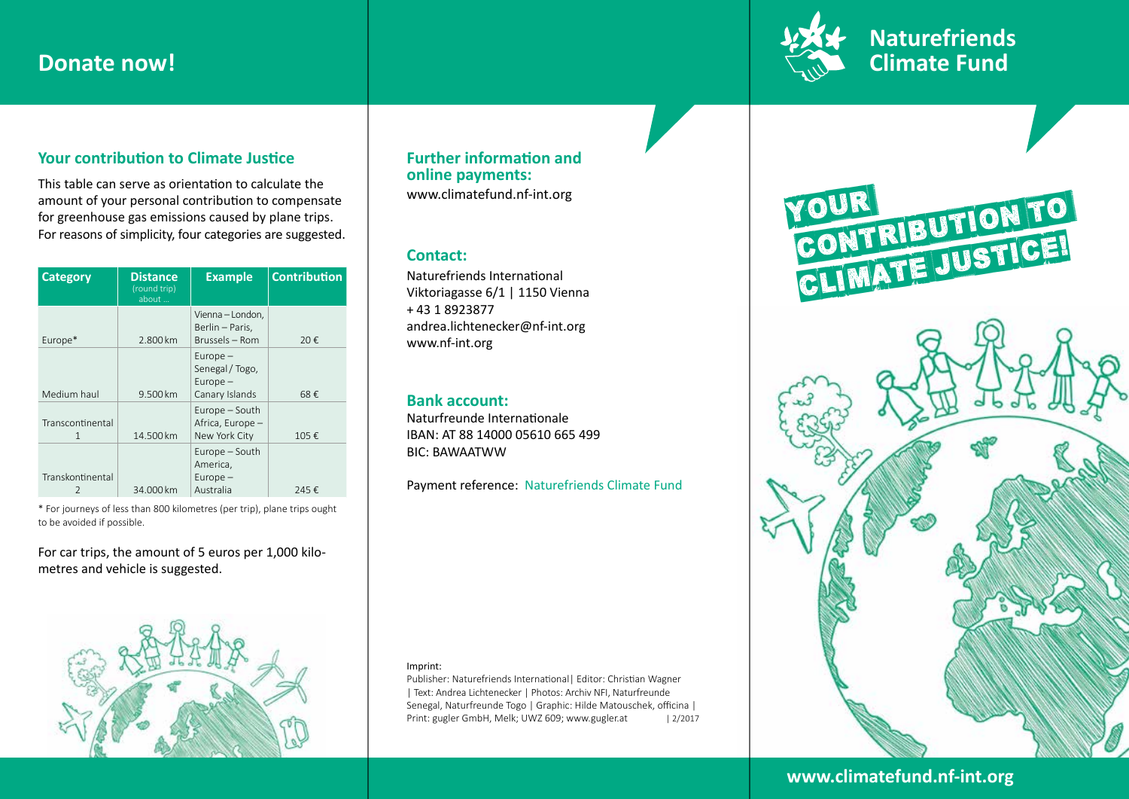

# **Your contribution to Climate Justice**

This table can serve as orientation to calculate the amount of your personal contribution to compensate for greenhouse gas emissions caused by plane trips. For reasons of simplicity, four categories are suggested.

| <b>Category</b>       | <b>Distance</b><br>(round trip)<br>about | <b>Example</b>                                                | <b>Contribution</b> |
|-----------------------|------------------------------------------|---------------------------------------------------------------|---------------------|
| Europe*               | 2.800 km                                 | Vienna - London,<br>Berlin – Paris,<br>Brussels - Rom         | 20€                 |
| Medium haul           | 9.500 km                                 | $Europe -$<br>Senegal / Togo,<br>$Europe -$<br>Canary Islands | 68€                 |
| Transcontinental<br>1 | 14.500 km                                | Europe – South<br>Africa, Europe -<br>New York City           | 105€                |
| Transkontinental      | 34.000 km                                | Europe - South<br>America,<br>$Europe -$<br>Australia         | 245€                |

\* For journeys of less than 800 kilometres (per trip), plane trips ought to be avoided if possible.

For car trips, the amount of 5 euros per 1,000 kilometres and vehicle is suggested.



# **Further information and online payments:**

www.climatefund.nf-int.org

## **Contact:**

Naturefriends International Viktoriagasse 6/1 | 1150 Vienna + 43 1 8923877 andrea.lichtenecker@nf-int.org www.nf-int.org

## **Bank account:**

Naturfreunde Internationale IBAN: AT 88 14000 05610 665 499 BIC: BAWAATWW

Payment reference: Naturefriends Climate Fund

### Imprint:

Publisher: Naturefriends International| Editor: Christian Wagner | Text: Andrea Lichtenecker | Photos: Archiv NFI, Naturfreunde Senegal, Naturfreunde Togo | Graphic: Hilde Matouschek, officina | Print: gugler GmbH, Melk; UWZ 609; www.gugler.at | 2/2017

Matthias. Fotos: fotolia.com (cobaltstock, Scott Griessel, Jari Hindström,





# www.climatefund.nf-int.org